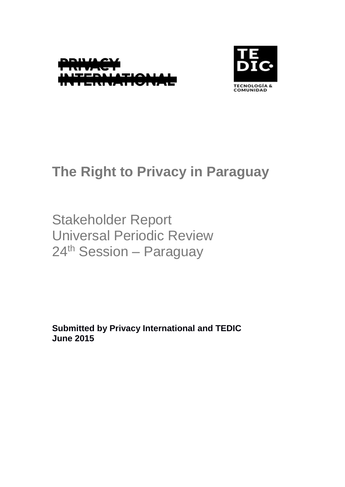



# **The Right to Privacy in Paraguay**

Stakeholder Report Universal Periodic Review 24<sup>th</sup> Session – Paraguay

**Submitted by Privacy International and TEDIC June 2015**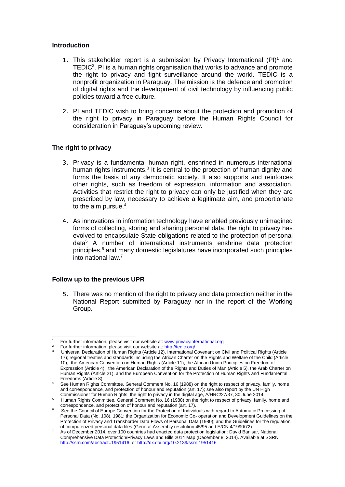## **Introduction**

- 1. This stakeholder report is a submission by Privacy International  $(PI)^1$  and TEDIC<sup>2</sup>. PI is a human rights organisation that works to advance and promote the right to privacy and fight surveillance around the world. TEDIC is a nonprofit organization in Paraguay. The mission is the defence and promotion of digital rights and the development of civil technology by influencing public policies toward a free culture.
- 2. PI and TEDIC wish to bring concerns about the protection and promotion of the right to privacy in Paraguay before the Human Rights Council for consideration in Paraguay's upcoming review.

# **The right to privacy**

- 3. Privacy is a fundamental human right, enshrined in numerous international human rights instruments.<sup>3</sup> It is central to the protection of human dignity and forms the basis of any democratic society. It also supports and reinforces other rights, such as freedom of expression, information and association. Activities that restrict the right to privacy can only be justified when they are prescribed by law, necessary to achieve a legitimate aim, and proportionate to the aim pursue.<sup>4</sup>
- 4. As innovations in information technology have enabled previously unimagined forms of collecting, storing and sharing personal data, the right to privacy has evolved to encapsulate State obligations related to the protection of personal data<sup>5</sup> A number of international instruments enshrine data protection principles,<sup>6</sup> and many domestic legislatures have incorporated such principles into national law.<sup>7</sup>

## **Follow up to the previous UPR**

-

5. There was no mention of the right to privacy and data protection neither in the National Report submitted by Paraguay nor in the report of the Working Group.

For further information, please visit our website at: [www.privacyinternational.org](http://www.privacyinternational.org/)

<sup>&</sup>lt;sup>2</sup> For further information, please visit our website at:<http://tedic.org/>

 $3$  Universal Declaration of Human Rights (Article 12), International Covenant on Civil and Political Rights (Article 17); regional treaties and standards including the African Charter on the Rights and Welfare of the Child (Article 10), the American Convention on Human Rights (Article 11), the African Union Principles on Freedom of Expression (Article 4), the American Declaration of the Rights and Duties of Man (Article 5), the Arab Charter on Human Rights (Article 21), and the European Convention for the Protection of Human Rights and Fundamental Freedoms (Article 8).

<sup>4</sup> See Human Rights Committee, General Comment No. 16 (1988) on the right to respect of privacy, family, home and correspondence, and protection of honour and reputation (art. 17); see also report by the UN High Commissioner for Human Rights, the right to privacy in the digital age, A/HRC/27/37, 30 June 2014.

<sup>5</sup> Human Rights Committee, General Comment No. 16 (1988) on the right to respect of privacy, family, home and correspondence, and protection of honour and reputation (art. 17).

<sup>&</sup>lt;sup>6</sup> See the Council of Europe Convention for the Protection of Individuals with regard to Automatic Processing of Personal Data (No. 108), 1981; the Organization for Economic Co- operation and Development Guidelines on the Protection of Privacy and Transborder Data Flows of Personal Data (1980); and the Guidelines for the regulation of computerized personal data files (General Assembly resolution 45/95 and E/CN.4/1990/72)

<sup>7</sup> As of December 2014, over 100 countries had enacted data protection legislation: David Banisar, National Comprehensive Data Protection/Privacy Laws and Bills 2014 Map (December 8, 2014). Available at SSRN: <http://ssrn.com/abstract=1951416>or<http://dx.doi.org/10.2139/ssrn.1951416>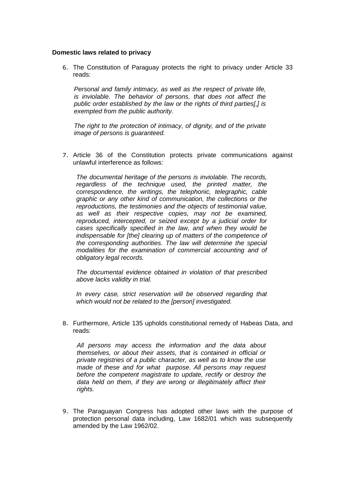## **Domestic laws related to privacy**

6. The Constitution of Paraguay protects the right to privacy under Article 33 reads:

*Personal and family intimacy, as well as the respect of private life, is inviolable. The behavior of persons, that does not affect the public order established by the law or the rights of third parties[,] is exempted from the public authority.* 

*The right to the protection of intimacy, of dignity, and of the private image of persons is guaranteed.*

7. Article 36 of the Constitution protects private communications against unlawful interference as follows:

*The documental heritage of the persons is inviolable. The records, regardless of the technique used, the printed matter, the correspondence, the writings, the telephonic, telegraphic, cable graphic or any other kind of communication, the collections or the reproductions, the testimonies and the objects of testimonial value, as well as their respective copies, may not be examined, reproduced, intercepted, or seized except by a judicial order for cases specifically specified in the law, and when they would be indispensable for [the] clearing up of matters of the competence of the corresponding authorities. The law will determine the special modalities for the examination of commercial accounting and of obligatory legal records.* 

*The documental evidence obtained in violation of that prescribed above lacks validity in trial.* 

*In every case, strict reservation will be observed regarding that which would not be related to the [person] investigated.*

8. Furthermore, Article 135 upholds constitutional remedy of Habeas Data, and reads:

*All persons may access the information and the data about themselves, or about their assets, that is contained in official or private registries of a public character, as well as to know the use made of these and for what purpose. All persons may request before the competent magistrate to update, rectify or destroy the data held on them, if they are wrong or illegitimately affect their rights.*

9. The Paraguayan Congress has adopted other laws with the purpose of protection personal data including, Law 1682/01 which was subsequently amended by the Law 1962/02.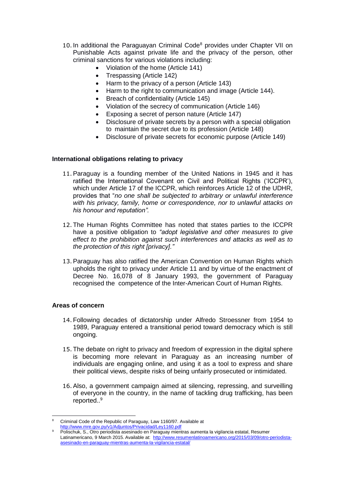- 10. In additional the Paraguayan Criminal Code<sup>8</sup> provides under Chapter VII on Punishable Acts against private life and the privacy of the person, other criminal sanctions for various violations including:
	- Violation of the home (Article 141)
	- Trespassing (Article 142)
	- Harm to the privacy of a person (Article 143)
	- Harm to the right to communication and image (Article 144).
	- Breach of confidentiality (Article 145)
	- Violation of the secrecy of communication (Article 146)
	- Exposing a secret of person nature (Article 147)
	- Disclosure of private secrets by a person with a special obligation to maintain the secret due to its profession (Article 148)
	- Disclosure of private secrets for economic purpose (Article 149)

# **International obligations relating to privacy**

- 11.Paraguay is a founding member of the United Nations in 1945 and it has ratified the International Covenant on Civil and Political Rights ('ICCPR'), which under Article 17 of the ICCPR, which reinforces Article 12 of the UDHR, provides that "*no one shall be subjected to arbitrary or unlawful interference with his privacy, family, home or correspondence, nor to unlawful attacks on his honour and reputation".*
- 12.The Human Rights Committee has noted that states parties to the ICCPR have a positive obligation to *"adopt legislative and other measures to give effect to the prohibition against such interferences and attacks as well as to the protection of this right [privacy]."*
- 13.Paraguay has also ratified the American Convention on Human Rights which upholds the right to privacy under Article 11 and by virtue of the enactment of Decree No. 16,078 of 8 January 1993, the government of Paraguay recognised the competence of the Inter-American Court of Human Rights.

# **Areas of concern**

- 14.Following decades of dictatorship under Alfredo Stroessner from 1954 to 1989, Paraguay entered a transitional period toward democracy which is still ongoing.
- 15.The debate on right to privacy and freedom of expression in the digital sphere is becoming more relevant in Paraguay as an increasing number of individuals are engaging online, and using it as a tool to express and share their political views, despite risks of being unfairly prosecuted or intimidated.
- 16.Also, a government campaign aimed at silencing, repressing, and surveilling of everyone in the country, in the name of tackling drug trafficking, has been reported..<sup>9</sup>

[asesinado-en-paraguay-mientras-aumenta-la-vigilancia-estatal/](http://www.resumenlatinoamericano.org/2015/03/09/otro-periodista-asesinado-en-paraguay-mientras-aumenta-la-vigilancia-estatal/)

<sup>-</sup><sup>8</sup> Criminal Code of the Republic of Paraguay, Law 1160/97. Available at

<http://www.mre.gov.py/v1/Adjuntos/Privacidad/Ley1160.pdf> <sup>9</sup> Polischuk, S., Otro periodista asesinado en Paraguay mientras aumenta la vigilancia estatal, Resumer Latinamericano, 9 March 2015. Available at: [http://www.resumenlatinoamericano.org/2015/03/09/otro-periodista-](http://www.resumenlatinoamericano.org/2015/03/09/otro-periodista-asesinado-en-paraguay-mientras-aumenta-la-vigilancia-estatal/)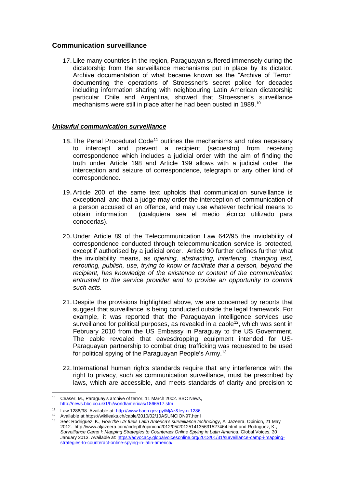# **Communication surveillance**

17. Like many countries in the region, Paraguayan suffered immensely during the dictatorship from the surveillance mechanisms put in place by its dictator. Archive documentation of what became known as the "Archive of Terror" documenting the operations of Stroessner's secret police for decades including information sharing with neighbouring Latin American dictatorship particular Chile and Argentina, showed that Stroessner's surveillance mechanisms were still in place after he had been ousted in 1989.<sup>10</sup>

# *Unlawful communication surveillance*

- 18. The Penal Procedural Code<sup>11</sup> outlines the mechanisms and rules necessary to intercept and prevent a recipient (secuestro) from receiving correspondence which includes a judicial order with the aim of finding the truth under Article 198 and Article 199 allows with a judicial order, the interception and seizure of correspondence, telegraph or any other kind of correspondence.
- 19.Article 200 of the same text upholds that communication surveillance is exceptional, and that a judge may order the interception of communication of a person accused of an offence, and may use whatever technical means to obtain information (cualquiera sea el medio técnico utilizado para conocerlas).
- 20. Under Article 89 of the Telecommunication Law 642/95 the inviolability of correspondence conducted through telecommunication service is protected, except if authorised by a judicial order. Article 90 further defines further what the inviolability means, as *opening, abstracting, interfering, changing text, rerouting, publish, use, trying to know or facilitate that a person, beyond the recipient, has knowledge of the existence or content of the communication*  entrusted to the service provider and to provide an opportunity to commit *such acts.*
- 21. Despite the provisions highlighted above, we are concerned by reports that suggest that surveillance is being conducted outside the legal framework. For example, it was reported that the Paraguayan intelligence services use surveillance for political purposes, as revealed in a cable<sup> $12$ </sup>, which was sent in February 2010 from the US Embassy in Paraguay to the US Government. The cable revealed that eavesdropping equipment intended for US-Paraguayan partnership to combat drug trafficking was requested to be used for political spying of the Paraguayan People's Army.<sup>13</sup>
- 22.International human rights standards require that any interference with the right to privacy, such as communication surveillance, must be prescribed by laws, which are accessible, and meets standards of clarity and precision to

<sup>-</sup><sup>10</sup> Ceaser, M., Paraguay's archive of terror, 11 March 2002. BBC News, <http://news.bbc.co.uk/1/hi/world/americas/1866517.stm>

<sup>&</sup>lt;sup>11</sup> Law 1286/98. Available at[: http://www.bacn.gov.py/MjAz&ley-n-1286](http://www.bacn.gov.py/MjAz&ley-n-1286)

<sup>12</sup> Available at:https://wikileaks.ch/cable/2010/02/10ASUNCION97.html

<sup>13</sup> See: Rodriguez, K., *How the US fuels Latin America's surveillance technology*, Al Jazeera, Opinion, 21 May 2012.<http://www.aljazeera.com/indepth/opinion/2012/05/2012514135631527464.html> and Rodriguez, K., *[Surveillance Camp I: Mapping Strategies to Counteract Online Spying in Latin America](https://advocacy.globalvoicesonline.org/2013/01/31/surveillance-camp-i-mapping-strategies-to-counteract-online-spying-in-latin-america/)*, Global Voices, 30 January 2013. Available at: [https://advocacy.globalvoicesonline.org/2013/01/31/surveillance-camp-i-mapping](https://advocacy.globalvoicesonline.org/2013/01/31/surveillance-camp-i-mapping-strategies-to-counteract-online-spying-in-latin-america/)[strategies-to-counteract-online-spying-in-latin-america/](https://advocacy.globalvoicesonline.org/2013/01/31/surveillance-camp-i-mapping-strategies-to-counteract-online-spying-in-latin-america/)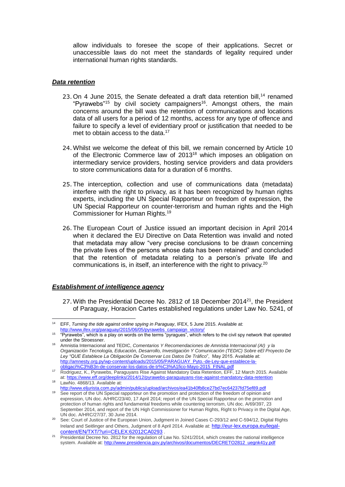allow individuals to foresee the scope of their applications. Secret or unaccessible laws do not meet the standards of legality required under international human rights standards.

## *Data retention*

- 23. On 4 June 2015, the Senate defeated a draft data retention bill,<sup>14</sup> renamed "Pyrawebs"<sup>15</sup> by civil society campaigners<sup>16</sup>. Amongst others, the main concerns around the bill was the retention of communications and locations data of all users for a period of 12 months, access for any type of offence and failure to specify a level of evidentiary proof or justification that needed to be met to obtain access to the data.<sup>17</sup>
- 24.Whilst we welcome the defeat of this bill, we remain concerned by Article 10 of the Electronic Commerce law of 2013<sup>18</sup> which imposes an obligation on intermediary service providers, hosting service providers and data providers to store communications data for a duration of 6 months.
- 25.The interception, collection and use of communications data (metadata) interfere with the right to privacy, as it has been recognized by human rights experts, including the UN Special Rapporteur on freedom of expression, the UN Special Rapporteur on counter-terrorism and human rights and the High Commissioner for Human Rights.<sup>19</sup>
- 26.The European Court of Justice issued an important decision in April 2014 when it declared the EU Directive on Data Retention was invalid and noted that metadata may allow "very precise conclusions to be drawn concerning the private lives of the persons whose data has been retained" and concluded that the retention of metadata relating to a person's private life and communications is, in itself, an interference with the right to privacy.<sup>20</sup>

# *Establishment of intelligence agency*

27.With the Presidential Decree No. 2812 of 18 December 2014<sup>21</sup>, the President of Paraguay, Horacion Cartes established regulations under Law No. 5241, of

<sup>-</sup><sup>14</sup> EFF, *Turning the tide against online spying in Paraguay*, IFEX, 5 June 2015. Available at:

[http://www.ifex.org/paraguay/2015/06/05/pyrawebs\\_campaign\\_victory/](http://www.ifex.org/paraguay/2015/06/05/pyrawebs_campaign_victory/)

<sup>&</sup>lt;sup>15</sup> "Pyrawebs", which is a play on words on the terms "pyragues", which refers to the civil spy network that operated under the Stroessner.

<sup>16</sup> Amnistia Internacional and TEDIC, *Comentarios Y Recomendaciones de Amnistia Internacional (AI) y la Organización Tecnología, Educación, Desarrollo, Investigación Y Comunicación (TEDIC) Sobre eEl Proyecto De Ley "QUE Establece La Obligación De Conservar Los Datos De Tráfico*", May 2015. Available at: [http://amnesty.org.py/wp-content/uploads/2015/05/PARAGUAY\\_Pyto.-de-Ley-que-establece-la](http://amnesty.org.py/wp-content/uploads/2015/05/PARAGUAY_Pyto.-de-Ley-que-establece-la-obligación-de-conservar-los-datos-de-tráfico-Mayo-2015_FINAL.pdf)[obligaci%C3%B3n-de-conservar-los-datos-de-tr%C3%A1fico-Mayo-2015\\_FINAL.pdf](http://amnesty.org.py/wp-content/uploads/2015/05/PARAGUAY_Pyto.-de-Ley-que-establece-la-obligación-de-conservar-los-datos-de-tráfico-Mayo-2015_FINAL.pdf)

<sup>17</sup> Rodriguez, K., Pyrawebs, Paraguyans Rise Against Mandatory Data Retention, EFF, 12 March 2015. Available at[: https://www.eff.org/deeplinks/2014/12/pyrawebs-paraguayans-rise-against-mandatory-data-retention](https://www.eff.org/deeplinks/2014/12/pyrawebs-paraguayans-rise-against-mandatory-data-retention)

<sup>18</sup> LawNo. 4868/13. Available at: <http://www.eljurista.com.py/admin/publics/upload/archivos/ea41b40fb8ce27bd7ec64237fd75ef89.pdf>

<sup>19</sup> See report of the UN Special rapporteur on the promotion and protection of the freedom of opinion and expression, UN doc. A/HRC/23/40, 17 April 2014; report of the UN Special Rapporteur on the promotion and protection of human rights and fundamental freedoms while countering terrorism, UN doc. A/69/397, 23 September 2014, and report of the UN High Commissioner for Human Rights, Right to Privacy in the Digital Age, UN doc. A/HRC/27/37, 30 June 2014.

<sup>20</sup> See: Court of Justice of the European Union, Judgment in Joined Cases C-293/12 and C-594/12, Digital Rights Ireland and Seitlinger and Others, Judgment of 8 April 2014. Available at: [http://eur-lex.europa.eu/legal](http://eur-lex.europa.eu/legal-content/EN/TXT/?uri=CELEX:62012CA0293)[content/EN/TXT/?uri=CELEX:62012CA0293](http://eur-lex.europa.eu/legal-content/EN/TXT/?uri=CELEX:62012CA0293) .

<sup>21</sup> Presidential Decree No. 2812 for the regulation of Law No. 5241/2014, which creates the national intelligence system. Available at[: http://www.presidencia.gov.py/archivos/documentos/DECRETO2812\\_uegnk41y.pdf](http://www.presidencia.gov.py/archivos/documentos/DECRETO2812_uegnk41y.pdf)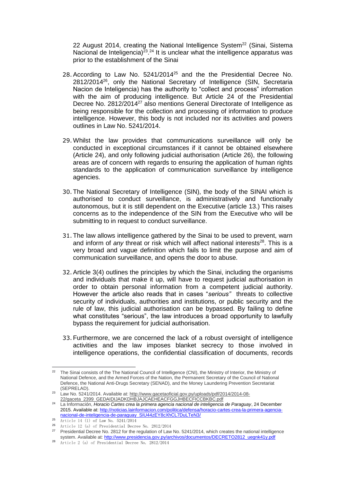22 August 2014, creating the National Intelligence System<sup>22</sup> (Sinai, Sistema Nacional de Inteligencia) $^{23}$ .<sup>24</sup> It is unclear what the intelligence apparatus was prior to the establishment of the Sinai

- 28. According to Law No. 5241/2014<sup>25</sup> and the the Presidential Decree No. 2812/2014<sup>26</sup>, only the National Secretary of Intelligence (SIN, Secretaria Nacion de Inteligencia) has the authority to "collect and process" information with the aim of producing intelligence. But Article 24 of the Presidential Decree No. 2812/2014<sup>27</sup> also mentions General Directorate of Intelligence as being responsible for the collection and processing of information to produce intelligence. However, this body is not included nor its activities and powers outlines in Law No. 5241/2014.
- 29.Whilst the law provides that communications surveillance will only be conducted in exceptional circumstances if it cannot be obtained elsewhere (Article 24), and only following judicial authorisation (Article 26), the following areas are of concern with regards to ensuring the application of human rights standards to the application of communication surveillance by intelligence agencies.
- 30.The National Secretary of Intelligence (SIN), the body of the SINAI which is authorised to conduct surveillance, is administratively and functionally autonomous, but it is still dependent on the Executive (article 13.) This raises concerns as to the independence of the SIN from the Executive who will be submitting to in request to conduct surveillance.
- 31.The law allows intelligence gathered by the Sinai to be used to prevent, warn and inform of *any* threat or risk which will affect national interests<sup>28</sup>. This is a very broad and vague definition which fails to limit the purpose and aim of communication surveillance, and opens the door to abuse.
- 32.Article 3(4) outlines the principles by which the Sinai, including the organisms and individuals that make it up, will have to request judicial authorisation in order to obtain personal information from a competent judicial authority. However the article also reads that in cases "*serious"* threats to collective security of individuals, authorities and institutions, or public security and the rule of law, this judicial authorisation can be bypassed. By failing to define what constitutes "serious", the law introduces a broad opportunity to lawfully bypass the requirement for judicial authorisation.
- 33.Furthermore, we are concerned the lack of a robust oversight of intelligence activities and the law imposes blanket secrecy to those involved in intelligence operations, the confidential classification of documents, records

-

 $22$  The Sinai consists of the The National Council of Intelligence (CNI), the Ministry of Interior, the Ministry of National Defence, and the Armed Forces of the Nation, the Permanent Secretary of the Council of National Defence, the National Anti-Drugs Secretary (SENAD), and the Money Laundering Prevention Secretariat (SEPRELAD).

<sup>23</sup> Law No. 5241/2014. Available at: [http://www.gacetaoficial.gov.py/uploads/pdf/2014/2014-08-](http://www.gacetaoficial.gov.py/uploads/pdf/2014/2014-08-22/gaceta_2399_GEDAIDIJADKDHBJAJCAEHEACFGGJHBECFICCBKBC.pdf) [22/gaceta\\_2399\\_GEDAIDIJADKDHBJAJCAEHEACFGGJHBECFICCBKBC.pdf](http://www.gacetaoficial.gov.py/uploads/pdf/2014/2014-08-22/gaceta_2399_GEDAIDIJADKDHBJAJCAEHEACFGGJHBECFICCBKBC.pdf)

<sup>24</sup> La Información, *Horacio Cartes crea la primera agencia nacional de inteligencia de Paraguay*, 24 December 2015. Available at[: http://noticias.lainformacion.com/politica/defensa/horacio-cartes-crea-la-primera-agencia](http://noticias.lainformacion.com/politica/defensa/horacio-cartes-crea-la-primera-agencia-nacional-de-inteligencia-de-paraguay_SIU44zEY8cXhCL7DuLTeN3/)[nacional-de-inteligencia-de-paraguay\\_SIU44zEY8cXhCL7DuLTeN3/](http://noticias.lainformacion.com/politica/defensa/horacio-cartes-crea-la-primera-agencia-nacional-de-inteligencia-de-paraguay_SIU44zEY8cXhCL7DuLTeN3/) 

<sup>25</sup> Article 14 (1) of Law No. 5241/2014

<sup>26</sup> Article 12 (a) of Presidential Decree No. 2812/2014

<sup>&</sup>lt;sup>27</sup> Presidential Decree No. 2812 for the regulation of Law No. 5241/2014, which creates the national intelligence system. Available at[: http://www.presidencia.gov.py/archivos/documentos/DECRETO2812\\_uegnk41y.pdf](http://www.presidencia.gov.py/archivos/documentos/DECRETO2812_uegnk41y.pdf) 

<sup>28</sup> Article 2 (a) of Presidential Decree No. 2812/2014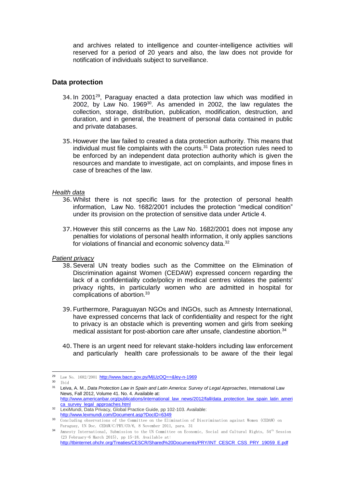and archives related to intelligence and counter-intelligence activities will reserved for a period of 20 years and also, the law does not provide for notification of individuals subject to surveillance.

# **Data protection**

- 34.In 2001<sup>29</sup>, Paraguay enacted a data protection law which was modified in 2002, by Law No. 1969<sup>30</sup>. As amended in 2002, the law regulates the collection, storage, distribution, publication, modification, destruction, and duration, and in general, the treatment of personal data contained in public and private databases.
- 35. However the law failed to created a data protection authority. This means that individual must file complaints with the courts.<sup>31</sup> Data protection rules need to be enforced by an independent data protection authority which is given the resources and mandate to investigate, act on complaints, and impose fines in case of breaches of the law.

# *Health data*

- 36.Whilst there is not specific laws for the protection of personal health information, Law No. 1682/2001 includes the protection "medical condition" under its provision on the protection of sensitive data under Article 4.
- 37. However this still concerns as the Law No. 1682/2001 does not impose any penalties for violations of personal health information, it only applies sanctions for violations of financial and economic solvency data.<sup>32</sup>

## *Patient privacy*

- 38.Several UN treaty bodies such as the Committee on the Elimination of Discrimination against Women (CEDAW) expressed concern regarding the lack of a confidentiality code/policy in medical centres violates the patients' privacy rights, in particularly women who are admitted in hospital for complications of abortion.<sup>33</sup>
- 39.Furthermore, Paraguayan NGOs and INGOs, such as Amnesty International, have expressed concerns that lack of confidentiality and respect for the right to privacy is an obstacle which is preventing women and girls from seeking medical assistant for post-abortion care after unsafe, clandestine abortion.<sup>34</sup>
- 40.There is an urgent need for relevant stake-holders including law enforcement and particularly health care professionals to be aware of the their legal

<sup>29</sup> Law No. 1682/2001 <http://www.bacn.gov.py/MjUzOQ==&ley-n-1969>

<sup>30</sup> Ibid

<sup>31</sup> Leiva, A. M., *Data Protection Law in Spain and Latin America: Survey of Legal Approaches*, International Law News, Fall 2012, Volume 41. No. 4. Available at: [http://www.americanbar.org/publications/international\\_law\\_news/2012/fall/data\\_protection\\_law\\_spain\\_latin\\_ameri](http://www.americanbar.org/publications/international_law_news/2012/fall/data_protection_law_spain_latin_america_survey_legal_approaches.html)

[ca\\_survey\\_legal\\_approaches.html](http://www.americanbar.org/publications/international_law_news/2012/fall/data_protection_law_spain_latin_america_survey_legal_approaches.html) 32 LexiMundi, Data Privacy, Global Practice Guide, pp 102-103. Available:

<http://www.lexmundi.com/Document.asp?DocID=6349>

<sup>33</sup> Concluding observations of the Committee on the Elimination of Discrimination against Women (CEDAW) on Paraguay, UN Doc. CEDAW/C/PRY/CO/6, 8 November 2011, para. 31

<sup>34</sup> Amnesty International, Submission to the UN Committee on Economic, Social and Cultural Rights, 54th Session (23 February-6 March 2015), pp 15-18. Available at: [http://tbinternet.ohchr.org/Treaties/CESCR/Shared%20Documents/PRY/INT\\_CESCR\\_CSS\\_PRY\\_19059\\_E.pdf](http://tbinternet.ohchr.org/Treaties/CESCR/Shared%20Documents/PRY/INT_CESCR_CSS_PRY_19059_E.pdf)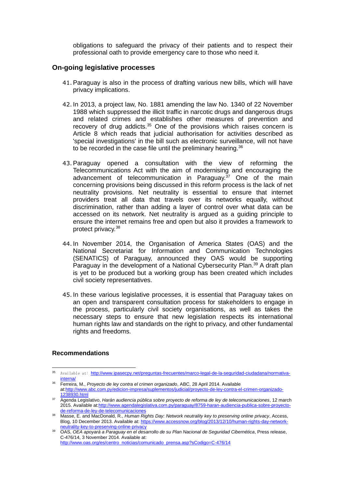obligations to safeguard the privacy of their patients and to respect their professional oath to provide emergency care to those who need it.

# **On-going legislative processes**

- 41.Paraguay is also in the process of drafting various new bills, which will have privacy implications.
- 42.In 2013, a project law, No. 1881 amending the law No. 1340 of 22 November 1988 which suppressed the illicit traffic in narcotic drugs and dangerous drugs and related crimes and establishes other measures of prevention and recovery of drug addicts.<sup>35</sup> One of the provisions which raises concern is Article 8 which reads that judicial authorisation for activities described as 'special investigations' in the bill such as electronic surveillance, will not have to be recorded in the case file until the preliminary hearing.<sup>36</sup>
- 43.Paraguay opened a consultation with the view of reforming the Telecommunications Act with the aim of modernising and encouraging the advancement of telecommunication in Paraguay. $37$  One of the main concerning provisions being discussed in this reform process is the lack of net neutrality provisions. Net neutrality is essential to ensure that internet providers treat all data that travels over its networks equally, without discrimination, rather than adding a layer of control over what data can be accessed on its network. Net neutrality is argued as a guiding principle to ensure the internet remains free and open but also it provides a framework to protect privacy.<sup>38</sup>
- 44.In November 2014, the Organisation of America States (OAS) and the National Secretariat for Information and Communication Technologies (SENATICS) of Paraguay, announced they OAS would be supporting Paraguay in the development of a National Cybersecurity Plan.<sup>39</sup> A draft plan is yet to be produced but a working group has been created which includes civil society representatives.
- 45.In these various legislative processes, it is essential that Paraguay takes on an open and transparent consultation process for stakeholders to engage in the process, particularly civil society organisations, as well as takes the necessary steps to ensure that new legislation respects its international human rights law and standards on the right to privacy, and other fundamental rights and freedoms.

## **Recommendations**

 $35$ <sup>35</sup> Available at: [http://www.ipasecpy.net/preguntas-frecuentes/marco-legal-de-la-seguridad-ciudadana/normativa](http://www.ipasecpy.net/preguntas-frecuentes/marco-legal-de-la-seguridad-ciudadana/normativa-interna/)[interna/](http://www.ipasecpy.net/preguntas-frecuentes/marco-legal-de-la-seguridad-ciudadana/normativa-interna/)

<sup>36</sup> Ferreira, M., *Proyecto de ley contra el crimen organizado*, ABC, 28 April 2014. Available at[:http://www.abc.com.py/edicion-impresa/suplementos/judicial/proyecto-de-ley-contra-el-crimen-organizado-](http://www.abc.com.py/edicion-impresa/suplementos/judicial/proyecto-de-ley-contra-el-crimen-organizado-1238930.html)[1238930.html](http://www.abc.com.py/edicion-impresa/suplementos/judicial/proyecto-de-ley-contra-el-crimen-organizado-1238930.html)

<sup>37</sup> Agenda Legislativo, *Harán audiencia pública sobre proyecto de reforma de ley de telecomunicaciones*, 12 march 2015. Available at[:http://www.agendalegislativa.com.py/paraguay/8759-haran-audiencia-publica-sobre-proyecto](http://www.agendalegislativa.com.py/paraguay/8759-haran-audiencia-publica-sobre-proyecto-de-reforma-de-ley-de-telecomunicaciones)[de-reforma-de-ley-de-telecomunicaciones](http://www.agendalegislativa.com.py/paraguay/8759-haran-audiencia-publica-sobre-proyecto-de-reforma-de-ley-de-telecomunicaciones)

<sup>38</sup> Masse, E. and MacDonald, R., *Human Rights Day: Network neutrality key to preserving online privacy*, Access, Blog, 10 December 2013. Available at: [https://www.accessnow.org/blog/2013/12/10/human-rights-day-network](https://www.accessnow.org/blog/2013/12/10/human-rights-day-network-neutrality-key-to-preserving-online-privacy)[neutrality-key-to-preserving-online-privacy](https://www.accessnow.org/blog/2013/12/10/human-rights-day-network-neutrality-key-to-preserving-online-privacy)

<sup>39</sup> OAS, *OEA apoyará a Paraguay en el desarrollo de su Plan Nacional de Seguridad Cibernética*, Press release, C-476/14, 3 November 2014. Available at:

[http://www.oas.org/es/centro\\_noticias/comunicado\\_prensa.asp?sCodigo=C-476/14](http://www.oas.org/es/centro_noticias/comunicado_prensa.asp?sCodigo=C-476/14)